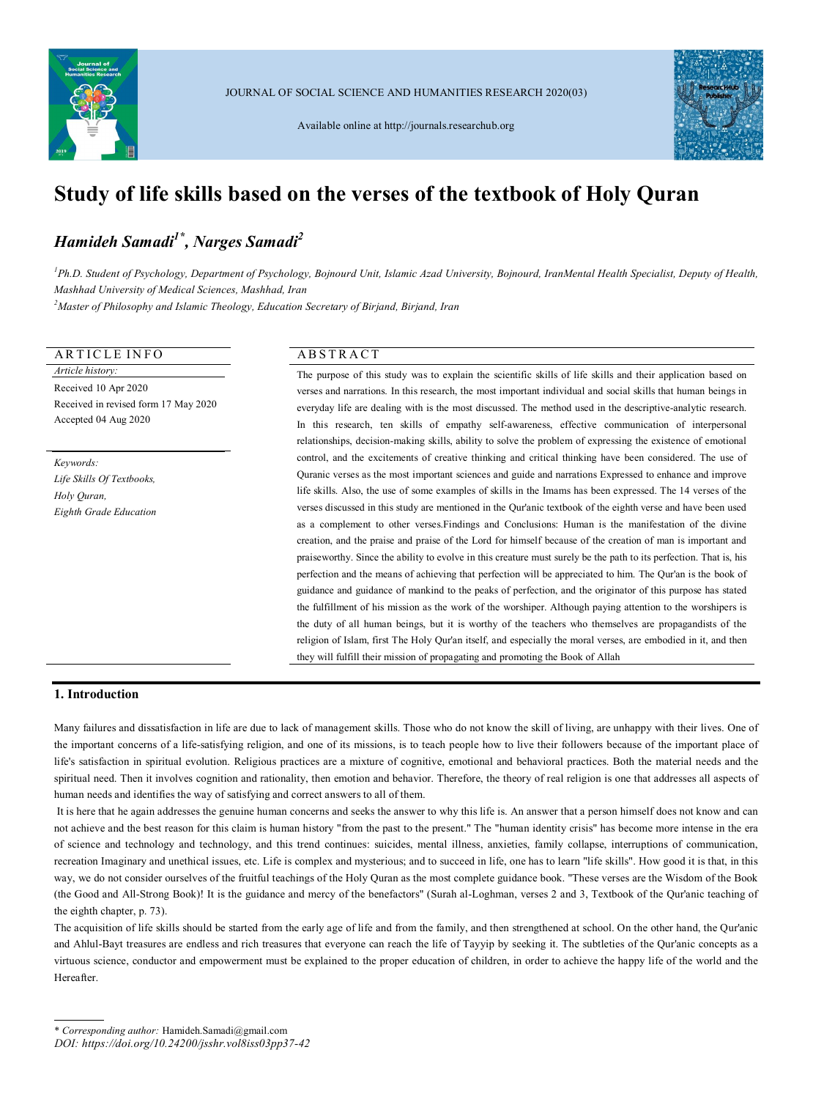

JOURNAL OF SOCIAL SCIENCE AND HUMANITIES RESEARCH 2020(03)

Available online at http://journals.researchub.org



# **Study of life skills based on the verses of the textbook of Holy Quran**

# *Hamideh Samadi1\* , Narges Samadi<sup>2</sup>*

*<sup>1</sup>Ph.D. Student of Psychology, Department of Psychology, Bojnourd Unit, Islamic Azad University, Bojnourd, IranMental Health Specialist, Deputy of Health, Mashhad University of Medical Sciences, Mashhad, Iran*

*<sup>2</sup>Master of Philosophy and Islamic Theology, Education Secretary of Birjand, Birjand, Iran*

# ARTICLE INFO ABSTRACT

*Article history:* Received 10 Apr 2020 Received in revised form 17 May 2020 Accepted 04 Aug 2020

*Keywords: Life Skills Of Textbooks, Holy Quran, Eighth Grade Education*

The purpose of this study was to explain the scientific skills of life skills and their application based on verses and narrations. In this research, the most important individual and social skills that human beings in everyday life are dealing with is the most discussed. The method used in the descriptive-analytic research. In this research, ten skills of empathy self-awareness, effective communication of interpersonal relationships, decision-making skills, ability to solve the problem of expressing the existence of emotional control, and the excitements of creative thinking and critical thinking have been considered. The use of Quranic verses as the most important sciences and guide and narrations Expressed to enhance and improve life skills. Also, the use of some examples of skills in the Imams has been expressed. The 14 verses of the verses discussed in this study are mentioned in the Qur'anic textbook of the eighth verse and have been used as a complement to other verses.Findings and Conclusions: Human is the manifestation of the divine creation, and the praise and praise of the Lord for himself because of the creation of man is important and praiseworthy. Since the ability to evolve in this creature must surely be the path to its perfection. That is, his perfection and the means of achieving that perfection will be appreciated to him. The Qur'an is the book of guidance and guidance of mankind to the peaks of perfection, and the originator of this purpose has stated the fulfillment of his mission as the work of the worshiper. Although paying attention to the worshipers is the duty of all human beings, but it is worthy of the teachers who themselves are propagandists of the religion of Islam, first The Holy Qur'an itself, and especially the moral verses, are embodied in it, and then they will fulfill their mission of propagating and promoting the Book of Allah

# **1. Introduction**

Many failures and dissatisfaction in life are due to lack of management skills. Those who do not know the skill of living, are unhappy with their lives. One of the important concerns of a life-satisfying religion, and one of its missions, is to teach people how to live their followers because of the important place of life's satisfaction in spiritual evolution. Religious practices are a mixture of cognitive, emotional and behavioral practices. Both the material needs and the spiritual need. Then it involves cognition and rationality, then emotion and behavior. Therefore, the theory of real religion is one that addresses all aspects of human needs and identifies the way of satisfying and correct answers to all of them.

It is here that he again addresses the genuine human concerns and seeks the answer to why this life is. An answer that a person himself does not know and can not achieve and the best reason for this claim is human history "from the past to the present." The "human identity crisis" has become more intense in the era of science and technology and technology, and this trend continues: suicides, mental illness, anxieties, family collapse, interruptions of communication, recreation Imaginary and unethical issues, etc. Life is complex and mysterious; and to succeed in life, one has to learn "life skills". How good it is that, in this way, we do not consider ourselves of the fruitful teachings of the Holy Quran as the most complete guidance book. "These verses are the Wisdom of the Book (the Good and All-Strong Book)! It is the guidance and mercy of the benefactors" (Surah al-Loghman, verses 2 and 3, Textbook of the Qur'anic teaching of the eighth chapter, p. 73).

The acquisition of life skills should be started from the early age of life and from the family, and then strengthened at school. On the other hand, the Qur'anic and Ahlul-Bayt treasures are endless and rich treasures that everyone can reach the life of Tayyip by seeking it. The subtleties of the Qur'anic concepts as a virtuous science, conductor and empowerment must be explained to the proper education of children, in order to achieve the happy life of the world and the Hereafter.

*DOI: https://doi.org/10.24200/jsshr.vol8iss03pp37-42*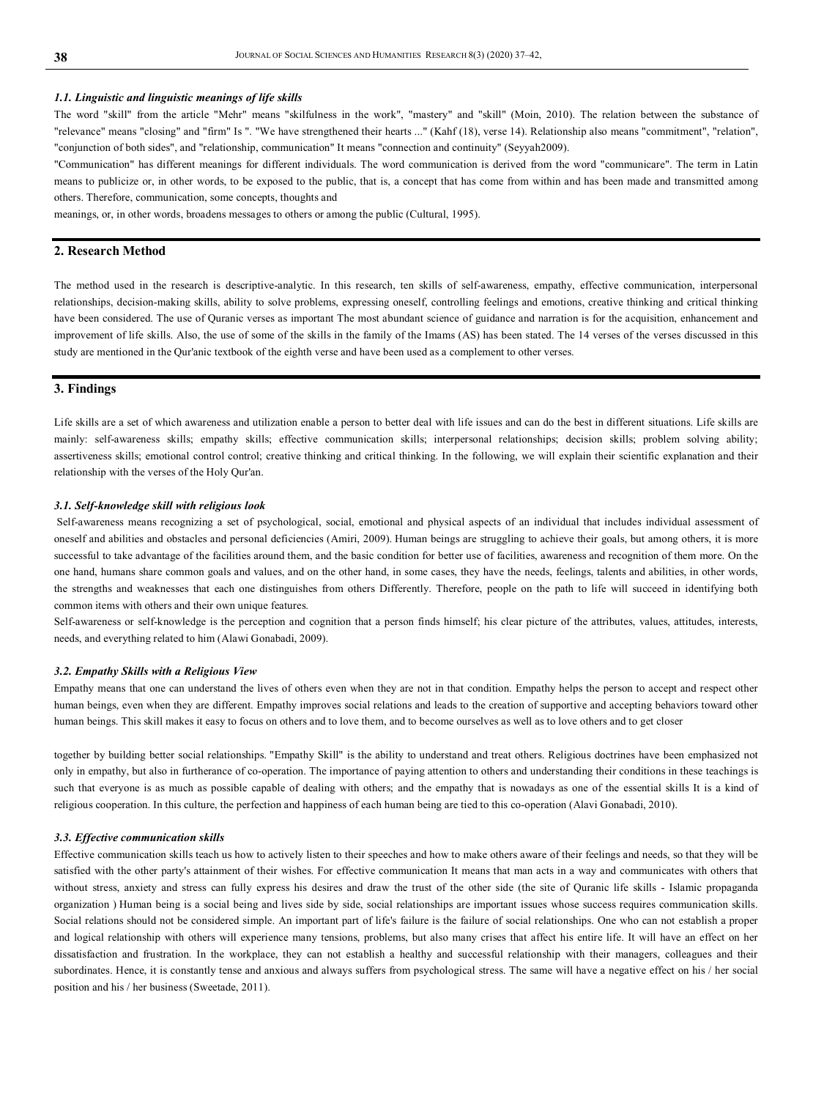#### *1.1. Linguistic and linguistic meanings of life skills*

The word "skill" from the article "Mehr" means "skilfulness in the work", "mastery" and "skill" (Moin, 2010). The relation between the substance of "relevance" means "closing" and "firm" Is ". "We have strengthened their hearts ..." (Kahf (18), verse 14). Relationship also means "commitment", "relation", "conjunction of both sides", and "relationship, communication" It means "connection and continuity" (Seyyah2009).

"Communication" has different meanings for different individuals. The word communication is derived from the word "communicare". The term in Latin means to publicize or, in other words, to be exposed to the public, that is, a concept that has come from within and has been made and transmitted among others. Therefore, communication, some concepts, thoughts and

meanings, or, in other words, broadens messages to others or among the public (Cultural, 1995).

# **2. Research Method**

The method used in the research is descriptive-analytic. In this research, ten skills of self-awareness, empathy, effective communication, interpersonal relationships, decision-making skills, ability to solve problems, expressing oneself, controlling feelings and emotions, creative thinking and critical thinking have been considered. The use of Quranic verses as important The most abundant science of guidance and narration is for the acquisition, enhancement and improvement of life skills. Also, the use of some of the skills in the family of the Imams (AS) has been stated. The 14 verses of the verses discussed in this study are mentioned in the Qur'anic textbook of the eighth verse and have been used as a complement to other verses.

# **3. Findings**

Life skills are a set of which awareness and utilization enable a person to better deal with life issues and can do the best in different situations. Life skills are mainly: self-awareness skills; empathy skills; effective communication skills; interpersonal relationships; decision skills; problem solving ability; assertiveness skills; emotional control control; creative thinking and critical thinking. In the following, we will explain their scientific explanation and their relationship with the verses of the Holy Qur'an.

### *3.1. Self-knowledge skill with religious look*

Self-awareness means recognizing a set of psychological, social, emotional and physical aspects of an individual that includes individual assessment of oneself and abilities and obstacles and personal deficiencies (Amiri, 2009). Human beings are struggling to achieve their goals, but among others, it is more successful to take advantage of the facilities around them, and the basic condition for better use of facilities, awareness and recognition of them more. On the one hand, humans share common goals and values, and on the other hand, in some cases, they have the needs, feelings, talents and abilities, in other words, the strengths and weaknesses that each one distinguishes from others Differently. Therefore, people on the path to life will succeed in identifying both common items with others and their own unique features.

Self-awareness or self-knowledge is the perception and cognition that a person finds himself; his clear picture of the attributes, values, attitudes, interests, needs, and everything related to him (Alawi Gonabadi, 2009).

#### *3.2. Empathy Skills with a Religious View*

Empathy means that one can understand the lives of others even when they are not in that condition. Empathy helps the person to accept and respect other human beings, even when they are different. Empathy improves social relations and leads to the creation of supportive and accepting behaviors toward other human beings. This skill makes it easy to focus on others and to love them, and to become ourselves as well as to love others and to get closer

together by building better social relationships. "Empathy Skill" is the ability to understand and treat others. Religious doctrines have been emphasized not only in empathy, but also in furtherance of co-operation. The importance of paying attention to others and understanding their conditions in these teachings is such that everyone is as much as possible capable of dealing with others; and the empathy that is nowadays as one of the essential skills It is a kind of religious cooperation. In this culture, the perfection and happiness of each human being are tied to this co-operation (Alavi Gonabadi, 2010).

#### *3.3. Effective communication skills*

Effective communication skills teach us how to actively listen to their speeches and how to make others aware of their feelings and needs, so that they will be satisfied with the other party's attainment of their wishes. For effective communication It means that man acts in a way and communicates with others that without stress, anxiety and stress can fully express his desires and draw the trust of the other side (the site of Quranic life skills - Islamic propaganda organization ) Human being is a social being and lives side by side, social relationships are important issues whose success requires communication skills. Social relations should not be considered simple. An important part of life's failure is the failure of social relationships. One who can not establish a proper and logical relationship with others will experience many tensions, problems, but also many crises that affect his entire life. It will have an effect on her dissatisfaction and frustration. In the workplace, they can not establish a healthy and successful relationship with their managers, colleagues and their subordinates. Hence, it is constantly tense and anxious and always suffers from psychological stress. The same will have a negative effect on his / her social position and his / her business (Sweetade, 2011).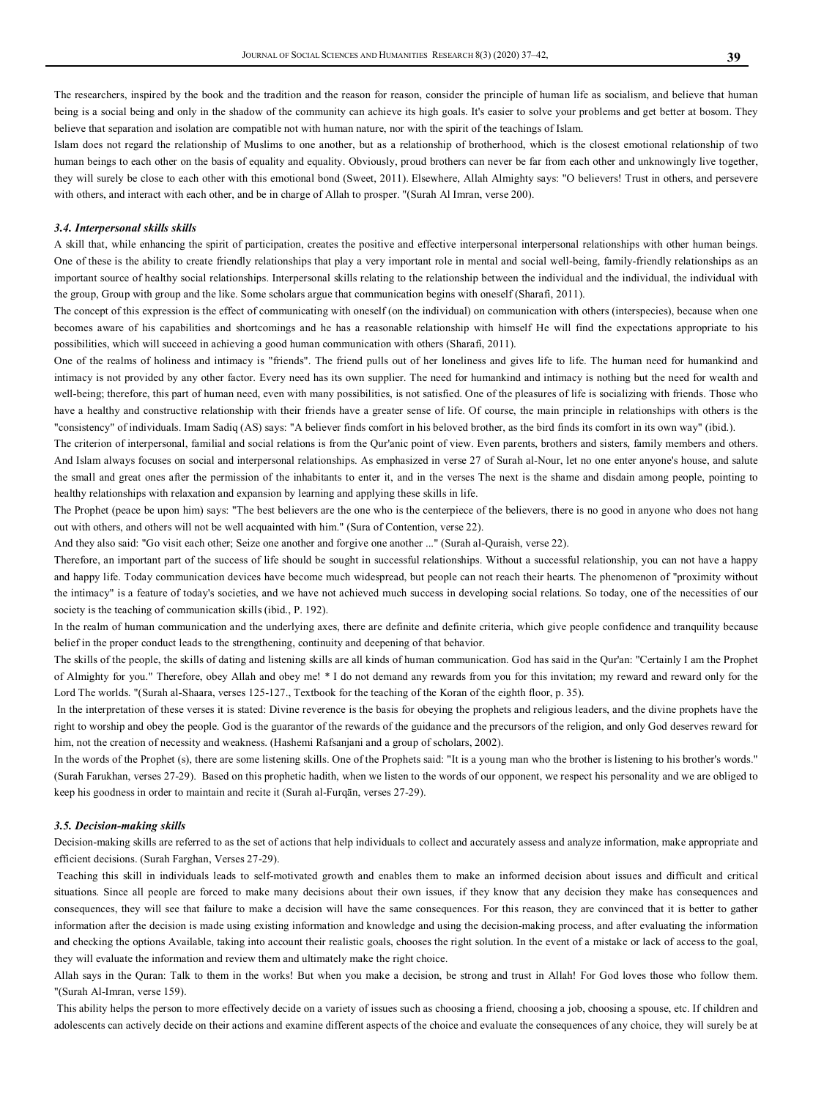The researchers, inspired by the book and the tradition and the reason for reason, consider the principle of human life as socialism, and believe that human being is a social being and only in the shadow of the community can achieve its high goals. It's easier to solve your problems and get better at bosom. They believe that separation and isolation are compatible not with human nature, nor with the spirit of the teachings of Islam.

Islam does not regard the relationship of Muslims to one another, but as a relationship of brotherhood, which is the closest emotional relationship of two human beings to each other on the basis of equality and equality. Obviously, proud brothers can never be far from each other and unknowingly live together, they will surely be close to each other with this emotional bond (Sweet, 2011). Elsewhere, Allah Almighty says: "O believers! Trust in others, and persevere with others, and interact with each other, and be in charge of Allah to prosper. "(Surah Al Imran, verse 200).

### *3.4. Interpersonal skills skills*

A skill that, while enhancing the spirit of participation, creates the positive and effective interpersonal interpersonal relationships with other human beings. One of these is the ability to create friendly relationships that play a very important role in mental and social well-being, family-friendly relationships as an important source of healthy social relationships. Interpersonal skills relating to the relationship between the individual and the individual, the individual with the group, Group with group and the like. Some scholars argue that communication begins with oneself (Sharafi, 2011).

The concept of this expression is the effect of communicating with oneself (on the individual) on communication with others (interspecies), because when one becomes aware of his capabilities and shortcomings and he has a reasonable relationship with himself He will find the expectations appropriate to his possibilities, which will succeed in achieving a good human communication with others (Sharafi, 2011).

One of the realms of holiness and intimacy is "friends". The friend pulls out of her loneliness and gives life to life. The human need for humankind and intimacy is not provided by any other factor. Every need has its own supplier. The need for humankind and intimacy is nothing but the need for wealth and well-being; therefore, this part of human need, even with many possibilities, is not satisfied. One of the pleasures of life is socializing with friends. Those who have a healthy and constructive relationship with their friends have a greater sense of life. Of course, the main principle in relationships with others is the "consistency" of individuals. Imam Sadiq (AS) says: "A believer finds comfort in his beloved brother, as the bird finds its comfort in its own way" (ibid.).

The criterion of interpersonal, familial and social relations is from the Qur'anic point of view. Even parents, brothers and sisters, family members and others. And Islam always focuses on social and interpersonal relationships. As emphasized in verse 27 of Surah al-Nour, let no one enter anyone's house, and salute the small and great ones after the permission of the inhabitants to enter it, and in the verses The next is the shame and disdain among people, pointing to healthy relationships with relaxation and expansion by learning and applying these skills in life.

The Prophet (peace be upon him) says: "The best believers are the one who is the centerpiece of the believers, there is no good in anyone who does not hang out with others, and others will not be well acquainted with him." (Sura of Contention, verse 22).

And they also said: "Go visit each other; Seize one another and forgive one another ..." (Surah al-Quraish, verse 22).

Therefore, an important part of the success of life should be sought in successful relationships. Without a successful relationship, you can not have a happy and happy life. Today communication devices have become much widespread, but people can not reach their hearts. The phenomenon of "proximity without the intimacy" is a feature of today's societies, and we have not achieved much success in developing social relations. So today, one of the necessities of our society is the teaching of communication skills (ibid., P. 192).

In the realm of human communication and the underlying axes, there are definite and definite criteria, which give people confidence and tranquility because belief in the proper conduct leads to the strengthening, continuity and deepening of that behavior.

The skills of the people, the skills of dating and listening skills are all kinds of human communication. God has said in the Qur'an: "Certainly I am the Prophet of Almighty for you." Therefore, obey Allah and obey me! \* I do not demand any rewards from you for this invitation; my reward and reward only for the Lord The worlds. "(Surah al-Shaara, verses 125-127., Textbook for the teaching of the Koran of the eighth floor, p. 35).

In the interpretation of these verses it is stated: Divine reverence is the basis for obeying the prophets and religious leaders, and the divine prophets have the right to worship and obey the people. God is the guarantor of the rewards of the guidance and the precursors of the religion, and only God deserves reward for him, not the creation of necessity and weakness. (Hashemi Rafsanjani and a group of scholars, 2002).

In the words of the Prophet (s), there are some listening skills. One of the Prophets said: "It is a young man who the brother is listening to his brother's words." (Surah Farukhan, verses 27-29). Based on this prophetic hadith, when we listen to the words of our opponent, we respect his personality and we are obliged to keep his goodness in order to maintain and recite it (Surah al-Furqān, verses 27-29).

#### *3.5. Decision-making skills*

Decision-making skills are referred to as the set of actions that help individuals to collect and accurately assess and analyze information, make appropriate and efficient decisions. (Surah Farghan, Verses 27-29).

Teaching this skill in individuals leads to self-motivated growth and enables them to make an informed decision about issues and difficult and critical situations. Since all people are forced to make many decisions about their own issues, if they know that any decision they make has consequences and consequences, they will see that failure to make a decision will have the same consequences. For this reason, they are convinced that it is better to gather information after the decision is made using existing information and knowledge and using the decision-making process, and after evaluating the information and checking the options Available, taking into account their realistic goals, chooses the right solution. In the event of a mistake or lack of access to the goal, they will evaluate the information and review them and ultimately make the right choice.

Allah says in the Quran: Talk to them in the works! But when you make a decision, be strong and trust in Allah! For God loves those who follow them. "(Surah Al-Imran, verse 159).

This ability helps the person to more effectively decide on a variety of issues such as choosing a friend, choosing a job, choosing a spouse, etc. If children and adolescents can actively decide on their actions and examine different aspects of the choice and evaluate the consequences of any choice, they will surely be at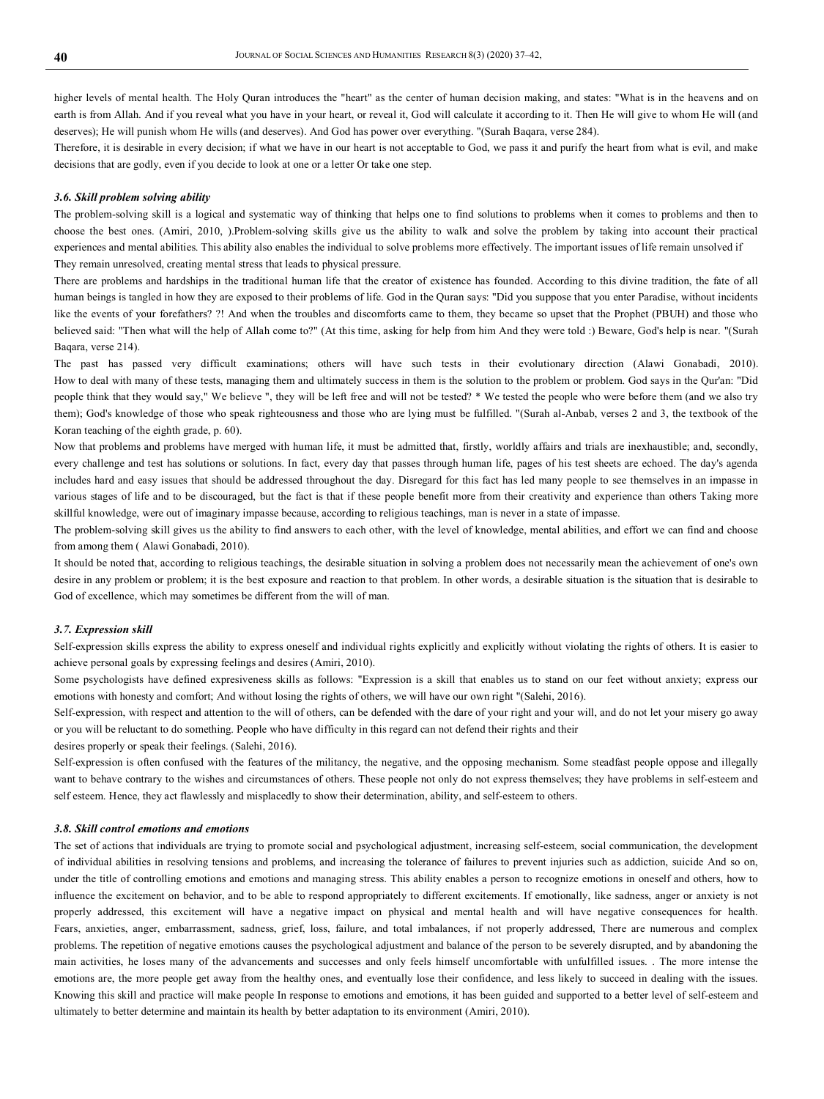higher levels of mental health. The Holy Quran introduces the "heart" as the center of human decision making, and states: "What is in the heavens and on earth is from Allah. And if you reveal what you have in your heart, or reveal it, God will calculate it according to it. Then He will give to whom He will (and deserves); He will punish whom He wills (and deserves). And God has power over everything. "(Surah Baqara, verse 284).

Therefore, it is desirable in every decision; if what we have in our heart is not acceptable to God, we pass it and purify the heart from what is evil, and make decisions that are godly, even if you decide to look at one or a letter Or take one step.

#### *3.6. Skill problem solving ability*

The problem-solving skill is a logical and systematic way of thinking that helps one to find solutions to problems when it comes to problems and then to choose the best ones. (Amiri, 2010, ).Problem-solving skills give us the ability to walk and solve the problem by taking into account their practical experiences and mental abilities. This ability also enables the individual to solve problems more effectively. The important issues of life remain unsolved if They remain unresolved, creating mental stress that leads to physical pressure.

There are problems and hardships in the traditional human life that the creator of existence has founded. According to this divine tradition, the fate of all human beings is tangled in how they are exposed to their problems of life. God in the Quran says: "Did you suppose that you enter Paradise, without incidents like the events of your forefathers? ?! And when the troubles and discomforts came to them, they became so upset that the Prophet (PBUH) and those who believed said: "Then what will the help of Allah come to?" (At this time, asking for help from him And they were told :) Beware, God's help is near. "(Surah Baqara, verse 214).

The past has passed very difficult examinations; others will have such tests in their evolutionary direction (Alawi Gonabadi, 2010). How to deal with many of these tests, managing them and ultimately success in them is the solution to the problem or problem. God says in the Qur'an: "Did people think that they would say," We believe ", they will be left free and will not be tested? \* We tested the people who were before them (and we also try them); God's knowledge of those who speak righteousness and those who are lying must be fulfilled. "(Surah al-Anbab, verses 2 and 3, the textbook of the Koran teaching of the eighth grade, p. 60).

Now that problems and problems have merged with human life, it must be admitted that, firstly, worldly affairs and trials are inexhaustible; and, secondly, every challenge and test has solutions or solutions. In fact, every day that passes through human life, pages of his test sheets are echoed. The day's agenda includes hard and easy issues that should be addressed throughout the day. Disregard for this fact has led many people to see themselves in an impasse in various stages of life and to be discouraged, but the fact is that if these people benefit more from their creativity and experience than others Taking more skillful knowledge, were out of imaginary impasse because, according to religious teachings, man is never in a state of impasse.

The problem-solving skill gives us the ability to find answers to each other, with the level of knowledge, mental abilities, and effort we can find and choose from among them ( Alawi Gonabadi, 2010).

It should be noted that, according to religious teachings, the desirable situation in solving a problem does not necessarily mean the achievement of one's own desire in any problem or problem; it is the best exposure and reaction to that problem. In other words, a desirable situation is the situation that is desirable to God of excellence, which may sometimes be different from the will of man.

### *3.7. Expression skill*

Self-expression skills express the ability to express oneself and individual rights explicitly and explicitly without violating the rights of others. It is easier to achieve personal goals by expressing feelings and desires (Amiri, 2010).

Some psychologists have defined expresiveness skills as follows: "Expression is a skill that enables us to stand on our feet without anxiety; express our emotions with honesty and comfort; And without losing the rights of others, we will have our own right "(Salehi, 2016).

Self-expression, with respect and attention to the will of others, can be defended with the dare of your right and your will, and do not let your misery go away or you will be reluctant to do something. People who have difficulty in this regard can not defend their rights and their

desires properly or speak their feelings. (Salehi, 2016).

Self-expression is often confused with the features of the militancy, the negative, and the opposing mechanism. Some steadfast people oppose and illegally want to behave contrary to the wishes and circumstances of others. These people not only do not express themselves; they have problems in self-esteem and self esteem. Hence, they act flawlessly and misplacedly to show their determination, ability, and self-esteem to others.

#### *3.8. Skill control emotions and emotions*

The set of actions that individuals are trying to promote social and psychological adjustment, increasing self-esteem, social communication, the development of individual abilities in resolving tensions and problems, and increasing the tolerance of failures to prevent injuries such as addiction, suicide And so on, under the title of controlling emotions and emotions and managing stress. This ability enables a person to recognize emotions in oneself and others, how to influence the excitement on behavior, and to be able to respond appropriately to different excitements. If emotionally, like sadness, anger or anxiety is not properly addressed, this excitement will have a negative impact on physical and mental health and will have negative consequences for health. Fears, anxieties, anger, embarrassment, sadness, grief, loss, failure, and total imbalances, if not properly addressed, There are numerous and complex problems. The repetition of negative emotions causes the psychological adjustment and balance of the person to be severely disrupted, and by abandoning the main activities, he loses many of the advancements and successes and only feels himself uncomfortable with unfulfilled issues. . The more intense the emotions are, the more people get away from the healthy ones, and eventually lose their confidence, and less likely to succeed in dealing with the issues. Knowing this skill and practice will make people In response to emotions and emotions, it has been guided and supported to a better level of self-esteem and ultimately to better determine and maintain its health by better adaptation to its environment (Amiri, 2010).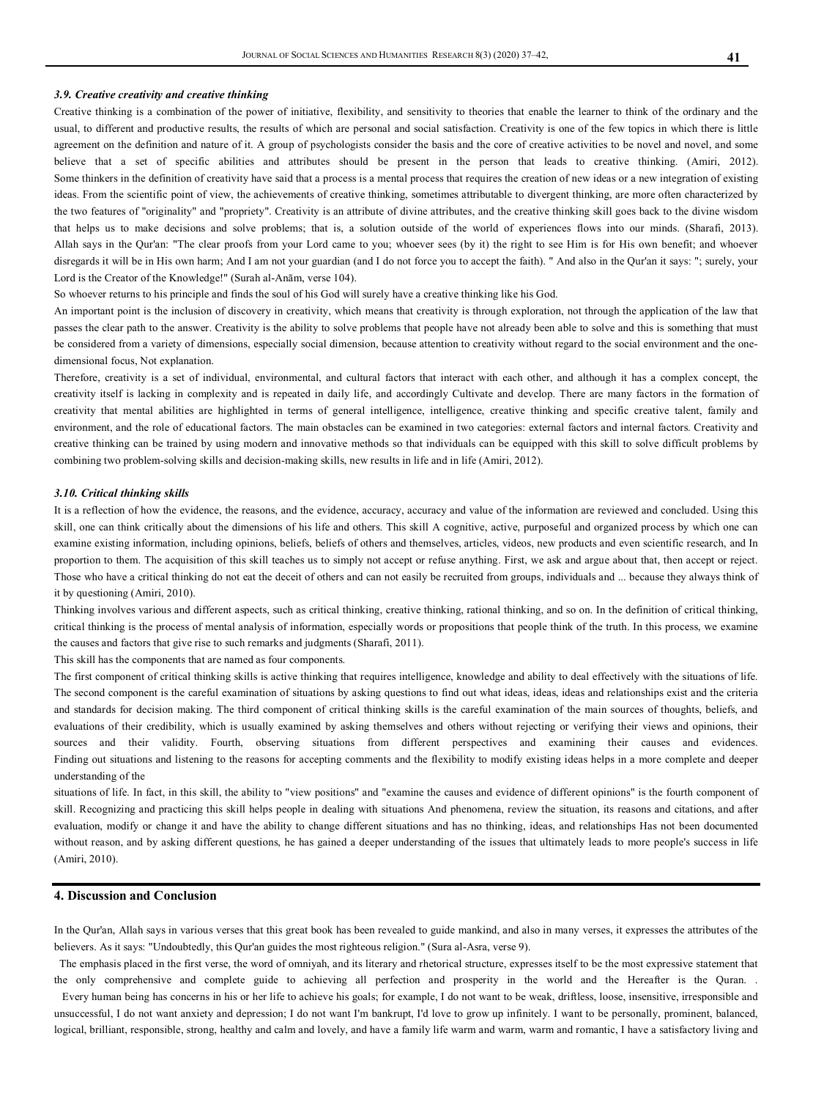#### *3.9. Creative creativity and creative thinking*

Creative thinking is a combination of the power of initiative, flexibility, and sensitivity to theories that enable the learner to think of the ordinary and the usual, to different and productive results, the results of which are personal and social satisfaction. Creativity is one of the few topics in which there is little agreement on the definition and nature of it. A group of psychologists consider the basis and the core of creative activities to be novel and novel, and some believe that a set of specific abilities and attributes should be present in the person that leads to creative thinking. (Amiri, 2012). Some thinkers in the definition of creativity have said that a process is a mental process that requires the creation of new ideas or a new integration of existing ideas. From the scientific point of view, the achievements of creative thinking, sometimes attributable to divergent thinking, are more often characterized by the two features of "originality" and "propriety". Creativity is an attribute of divine attributes, and the creative thinking skill goes back to the divine wisdom that helps us to make decisions and solve problems; that is, a solution outside of the world of experiences flows into our minds. (Sharafi, 2013). Allah says in the Qur'an: "The clear proofs from your Lord came to you; whoever sees (by it) the right to see Him is for His own benefit; and whoever disregards it will be in His own harm; And I am not your guardian (and I do not force you to accept the faith). " And also in the Qur'an it says: "; surely, your Lord is the Creator of the Knowledge!" (Surah al-Anām, verse 104).

So whoever returns to his principle and finds the soul of his God will surely have a creative thinking like his God.

An important point is the inclusion of discovery in creativity, which means that creativity is through exploration, not through the application of the law that passes the clear path to the answer. Creativity is the ability to solve problems that people have not already been able to solve and this is something that must be considered from a variety of dimensions, especially social dimension, because attention to creativity without regard to the social environment and the onedimensional focus, Not explanation.

Therefore, creativity is a set of individual, environmental, and cultural factors that interact with each other, and although it has a complex concept, the creativity itself is lacking in complexity and is repeated in daily life, and accordingly Cultivate and develop. There are many factors in the formation of creativity that mental abilities are highlighted in terms of general intelligence, intelligence, creative thinking and specific creative talent, family and environment, and the role of educational factors. The main obstacles can be examined in two categories: external factors and internal factors. Creativity and creative thinking can be trained by using modern and innovative methods so that individuals can be equipped with this skill to solve difficult problems by combining two problem-solving skills and decision-making skills, new results in life and in life (Amiri, 2012).

#### *3.10. Critical thinking skills*

It is a reflection of how the evidence, the reasons, and the evidence, accuracy, accuracy and value of the information are reviewed and concluded. Using this skill, one can think critically about the dimensions of his life and others. This skill A cognitive, active, purposeful and organized process by which one can examine existing information, including opinions, beliefs, beliefs of others and themselves, articles, videos, new products and even scientific research, and In proportion to them. The acquisition of this skill teaches us to simply not accept or refuse anything. First, we ask and argue about that, then accept or reject. Those who have a critical thinking do not eat the deceit of others and can not easily be recruited from groups, individuals and ... because they always think of it by questioning (Amiri, 2010).

Thinking involves various and different aspects, such as critical thinking, creative thinking, rational thinking, and so on. In the definition of critical thinking, critical thinking is the process of mental analysis of information, especially words or propositions that people think of the truth. In this process, we examine the causes and factors that give rise to such remarks and judgments (Sharafi, 2011).

This skill has the components that are named as four components.

The first component of critical thinking skills is active thinking that requires intelligence, knowledge and ability to deal effectively with the situations of life. The second component is the careful examination of situations by asking questions to find out what ideas, ideas, ideas and relationships exist and the criteria and standards for decision making. The third component of critical thinking skills is the careful examination of the main sources of thoughts, beliefs, and evaluations of their credibility, which is usually examined by asking themselves and others without rejecting or verifying their views and opinions, their sources and their validity. Fourth, observing situations from different perspectives and examining their causes and evidences. Finding out situations and listening to the reasons for accepting comments and the flexibility to modify existing ideas helps in a more complete and deeper understanding of the

situations of life. In fact, in this skill, the ability to "view positions" and "examine the causes and evidence of different opinions" is the fourth component of skill. Recognizing and practicing this skill helps people in dealing with situations And phenomena, review the situation, its reasons and citations, and after evaluation, modify or change it and have the ability to change different situations and has no thinking, ideas, and relationships Has not been documented without reason, and by asking different questions, he has gained a deeper understanding of the issues that ultimately leads to more people's success in life (Amiri, 2010).

# **4. Discussion and Conclusion**

In the Qur'an, Allah says in various verses that this great book has been revealed to guide mankind, and also in many verses, it expresses the attributes of the believers. As it says: "Undoubtedly, this Qur'an guides the most righteous religion." (Sura al-Asra, verse 9).

 The emphasis placed in the first verse, the word of omniyah, and its literary and rhetorical structure, expresses itself to be the most expressive statement that the only comprehensive and complete guide to achieving all perfection and prosperity in the world and the Hereafter is the Quran. Every human being has concerns in his or her life to achieve his goals; for example, I do not want to be weak, driftless, loose, insensitive, irresponsible and

unsuccessful, I do not want anxiety and depression; I do not want I'm bankrupt, I'd love to grow up infinitely. I want to be personally, prominent, balanced, logical, brilliant, responsible, strong, healthy and calm and lovely, and have a family life warm and warm, warm and romantic, I have a satisfactory living and